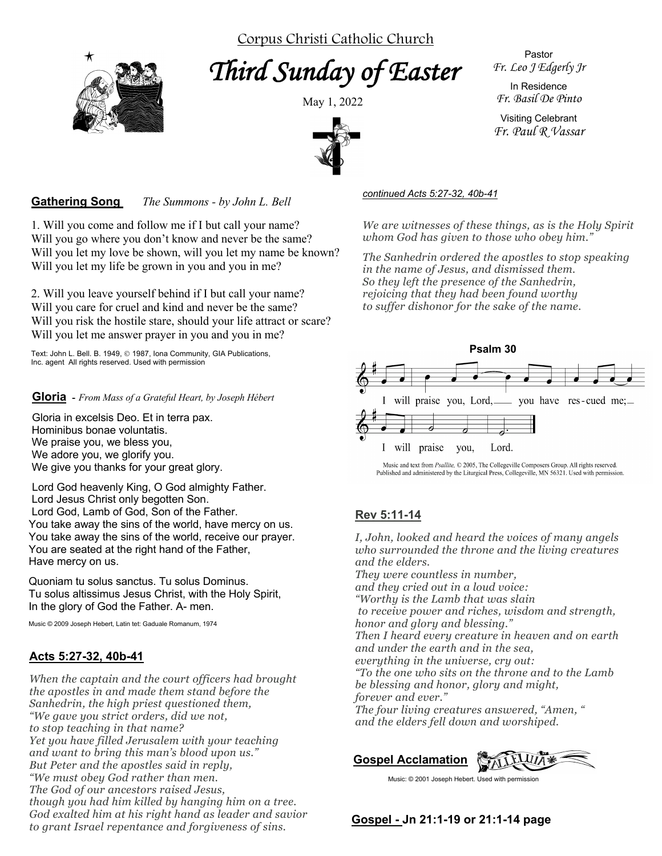Corpus Christi Catholic Church

*Third Sunday of Easter* 



May 1, 2022



Pastor *Fr. Leo J Edgerly Jr*

In Residence *Fr. Basil De Pinto*

Visiting Celebrant *Fr. Paul R Vassar*

#### **Gathering Song** *The Summons - by John L. Bell*

1. Will you come and follow me if I but call your name? Will you go where you don't know and never be the same? Will you let my love be shown, will you let my name be known? Will you let my life be grown in you and you in me?

2. Will you leave yourself behind if I but call your name? Will you care for cruel and kind and never be the same? Will you risk the hostile stare, should your life attract or scare? Will you let me answer prayer in you and you in me?

Text: John L. Bell. B. 1949, © 1987, Iona Community, GIA Publications, Inc. agent All rights reserved. Used with permission

#### **Gloria -** *From Mass of a Grateful Heart, by Joseph Hébert*

Gloria in excelsis Deo. Et in terra pax. Hominibus bonae voluntatis. We praise you, we bless you, We adore you, we glorify you. We give you thanks for your great glory.

Lord God heavenly King, O God almighty Father. Lord Jesus Christ only begotten Son. Lord God, Lamb of God, Son of the Father. You take away the sins of the world, have mercy on us. You take away the sins of the world, receive our prayer. You are seated at the right hand of the Father, Have mercy on us.

Quoniam tu solus sanctus. Tu solus Dominus. Tu solus altissimus Jesus Christ, with the Holy Spirit, In the glory of God the Father. A- men.

Music © 2009 Joseph Hebert, Latin tet: Gaduale Romanum, 1974

#### **Acts 5:27-32, 40b-41**

*When the captain and the court officers had brought the apostles in and made them stand before the Sanhedrin, the high priest questioned them, "We gave you strict orders, did we not, to stop teaching in that name? Yet you have filled Jerusalem with your teaching and want to bring this man's blood upon us." But Peter and the apostles said in reply, "We must obey God rather than men. The God of our ancestors raised Jesus, though you had him killed by hanging him on a tree. God exalted him at his right hand as leader and savior to grant Israel repentance and forgiveness of sins.*

#### *continued Acts 5:27-32, 40b-41*

*We are witnesses of these things, as is the Holy Spirit whom God has given to those who obey him."*

*The Sanhedrin ordered the apostles to stop speaking in the name of Jesus, and dismissed them. So they left the presence of the Sanhedrin, rejoicing that they had been found worthy to suffer dishonor for the sake of the name.*



Music and text from Psallite, © 2005, The Collegeville Composers Group. All rights reserved. Published and administered by the Liturgical Press, Collegeville, MN 56321. Used with permission.

# **Rev 5:11-14**

 *Then I heard every creature in heaven and on earth I, John, looked and heard the voices of many angels who surrounded the throne and the living creatures and the elders. They were countless in number, and they cried out in a loud voice: "Worthy is the Lamb that was slain to receive power and riches, wisdom and strength, honor and glory and blessing." and under the earth and in the sea, everything in the universe, cry out: "To the one who sits on the throne and to the Lamb be blessing and honor, glory and might, forever and ever." The four living creatures answered, "Amen, " and the elders fell down and worshiped.*

**Gospel Acclamation**

**Gospel - Jn 21:1-19 or 21:1-14 page**

Music: © 2001 Joseph Hebert. Used with permission